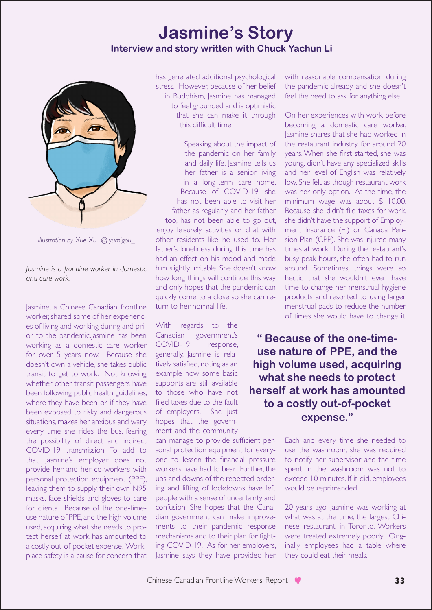## **Jasmine's Story Interview and story written with Chuck Yachun Li**



*Illustration by Xue Xu. @ yumigou\_*

*Jasmine is a frontline worker in domestic and care work.* 

Jasmine, a Chinese Canadian frontline worker, shared some of her experiences of living and working during and prior to the pandemic.Jasmine has been working as a domestic care worker for over 5 years now. Because she doesn't own a vehicle, she takes public transit to get to work. Not knowing whether other transit passengers have been following public health guidelines, where they have been or if they have been exposed to risky and dangerous situations, makes her anxious and wary every time she rides the bus, fearing the possibility of direct and indirect COVID-19 transmission. To add to that, Jasmine's employer does not provide her and her co-workers with personal protection equipment (PPE), leaving them to supply their own N95 masks, face shields and gloves to care for clients. Because of the one-timeuse nature of PPE, and the high volume used, acquiring what she needs to protect herself at work has amounted to a costly out-of-pocket expense. Workplace safety is a cause for concern that

has generated additional psychological stress. However, because of her belief in Buddhism, Jasmine has managed to feel grounded and is optimistic that she can make it through this difficult time.

Speaking about the impact of the pandemic on her family and daily life, Jasmine tells us her father is a senior living in a long-term care home. Because of COVID-19, she has not been able to visit her father as regularly, and her father too, has not been able to go out, enjoy leisurely activities or chat with other residents like he used to. Her father's loneliness during this time has had an effect on his mood and made him slightly irritable. She doesn't know how long things will continue this way and only hopes that the pandemic can quickly come to a close so she can return to her normal life.

With regards to the Canadian government's COVID-19 response, generally, Jasmine is relatively satisfied, noting as an example how some basic supports are still available to those who have not filed taxes due to the fault of employers. She just hopes that the government and the community

can manage to provide sufficient personal protection equipment for everyone to lessen the financial pressure workers have had to bear. Further, the ups and downs of the repeated ordering and lifting of lockdowns have left people with a sense of uncertainty and confusion. She hopes that the Canadian government can make improvements to their pandemic response mechanisms and to their plan for fighting COVID-19. As for her employers, Jasmine says they have provided her with reasonable compensation during the pandemic already, and she doesn't feel the need to ask for anything else.

On her experiences with work before becoming a domestic care worker, Jasmine shares that she had worked in the restaurant industry for around 20 years. When she first started, she was young, didn't have any specialized skills and her level of English was relatively low. She felt as though restaurant work was her only option. At the time, the minimum wage was about \$ 10.00. Because she didn't file taxes for work, she didn't have the support of Employment Insurance (EI) or Canada Pension Plan (CPP). She was injured many times at work. During the restaurant's busy peak hours, she often had to run around. Sometimes, things were so hectic that she wouldn't even have time to change her menstrual hygiene products and resorted to using larger menstrual pads to reduce the number of times she would have to change it.

**" Because of the one-timeuse nature of PPE, and the high volume used, acquiring what she needs to protect herself at work has amounted to a costly out-of-pocket expense."** 

> Each and every time she needed to use the washroom, she was required to notify her supervisor and the time spent in the washroom was not to exceed 10 minutes. If it did, employees would be reprimanded.

> 20 years ago, Jasmine was working at what was at the time, the largest Chinese restaurant in Toronto. Workers were treated extremely poorly. Originally, employees had a table where they could eat their meals.